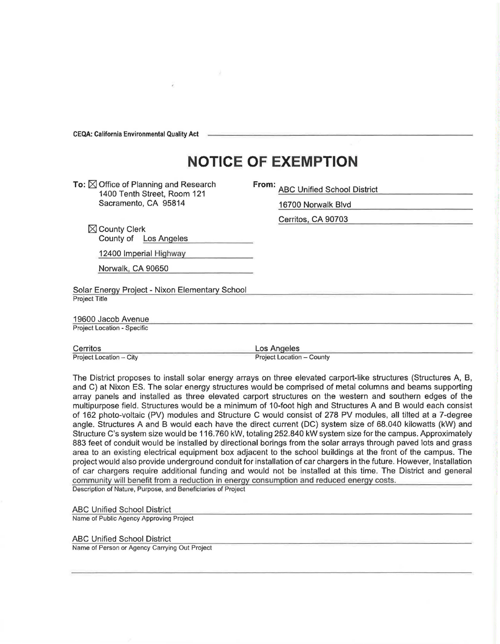**CEQA: California** Environmental **Quality Act** 

## **NOTICE OF EXEMPTION**

To:  $\boxtimes$  Office of Planning and Research 1400 Tenth Street, Room 121 Sacramento, CA 95814

**From:** ABC Unified School District

16700 Norwalk Blvd Cerritos, CA 90703

 $\boxtimes$  County Clerk County of Los Angeles

12400 Imperial Highway

Norwalk, CA 90650

Solar Energy Project - Nixon Elementary School Project Title

19600 Jacob Avenue

Project Location - Specific

Cerritos Project Location - City Los Angeles Project Location - County

The District proposes to install solar energy arrays on three elevated carport-like structures (Structures A, B, and C) at Nixon ES. The solar energy structures would be comprised of metal columns and beams supporting array panels and installed as three elevated carport structures on the western and southern edges of the multipurpose field. Structures would be a minimum of 10-foot high and Structures A and B would each consist of 162 photo-voltaic (PV) modules and Structure C would consist of 278 PV modules, all tilted at a 7-degree angle. Structures A and B would each have the direct current (DC) system size of 68.040 kilowatts (kW) and Structure C's system size would be 116. 760 kW, totaling 252.840 kW system size for the campus. Approximately 883 feet of conduit would be installed by directional borings from the solar arrays through paved lots and grass area to an existing electrical equipment box adjacent to the school buildings at the front of the campus. The project would also provide underground conduit for installation of car chargers in the future. However, Installation of car chargers require additional funding and would not be installed at this time. The District and general community will benefit from a reduction ih energy consumption and reduced energy costs. Description of Nature, Purpose, and Beneficiaries of Project

ABC Unified School District

Name of Public Agency Approving Project

ABC Unified School District Name of Person or Agency Carrying Out Project